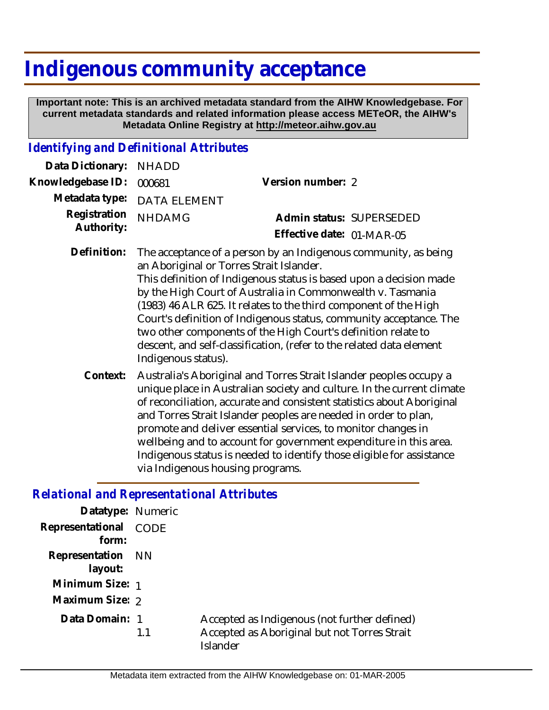## **Indigenous community acceptance**

 **Important note: This is an archived metadata standard from the AIHW Knowledgebase. For current metadata standards and related information please access METeOR, the AIHW's Metadata Online Registry at http://meteor.aihw.gov.au**

## *Identifying and Definitional Attributes*

| Data Dictionary:           | <b>NHADD</b>                                                                                                                                                                                                                                                                                                                                                                                                                                                                                                                                              |                                                                                                                                                                                                                                                                                           |
|----------------------------|-----------------------------------------------------------------------------------------------------------------------------------------------------------------------------------------------------------------------------------------------------------------------------------------------------------------------------------------------------------------------------------------------------------------------------------------------------------------------------------------------------------------------------------------------------------|-------------------------------------------------------------------------------------------------------------------------------------------------------------------------------------------------------------------------------------------------------------------------------------------|
| Knowledgebase ID:          | 000681                                                                                                                                                                                                                                                                                                                                                                                                                                                                                                                                                    | Version number: 2                                                                                                                                                                                                                                                                         |
| Metadata type:             | <b>DATA ELEMENT</b>                                                                                                                                                                                                                                                                                                                                                                                                                                                                                                                                       |                                                                                                                                                                                                                                                                                           |
| Registration<br>Authority: | <b>NHDAMG</b>                                                                                                                                                                                                                                                                                                                                                                                                                                                                                                                                             | Admin status: SUPERSEDED                                                                                                                                                                                                                                                                  |
|                            |                                                                                                                                                                                                                                                                                                                                                                                                                                                                                                                                                           | Effective date: 01-MAR-05                                                                                                                                                                                                                                                                 |
| Definition:                | The acceptance of a person by an Indigenous community, as being<br>an Aboriginal or Torres Strait Islander.<br>This definition of Indigenous status is based upon a decision made<br>by the High Court of Australia in Commonwealth v. Tasmania<br>(1983) 46 ALR 625. It relates to the third component of the High<br>Court's definition of Indigenous status, community acceptance. The<br>two other components of the High Court's definition relate to<br>descent, and self-classification, (refer to the related data element<br>Indigenous status). |                                                                                                                                                                                                                                                                                           |
| Context:                   |                                                                                                                                                                                                                                                                                                                                                                                                                                                                                                                                                           | Australia's Aboriginal and Torres Strait Islander peoples occupy a<br>unique place in Australian society and culture. In the current climate<br>of reconciliation, accurate and consistent statistics about Aboriginal<br>and Torres Strait Islander peoples are needed in order to plan, |

promote and deliver essential services, to monitor changes in wellbeing and to account for government expenditure in this area. Indigenous status is needed to identify those eligible for assistance via Indigenous housing programs.

## *Relational and Representational Attributes*

| Datatype: Numeric              |    |                                                                                                          |
|--------------------------------|----|----------------------------------------------------------------------------------------------------------|
| Representational CODE<br>form: |    |                                                                                                          |
| Representation NN<br>layout:   |    |                                                                                                          |
| Minimum Size: 1                |    |                                                                                                          |
| Maximum Size: 2                |    |                                                                                                          |
| Data Domain: 1                 | 11 | Accepted as Indigenous (not further defined)<br>Accepted as Aboriginal but not Torres Strait<br>Islander |